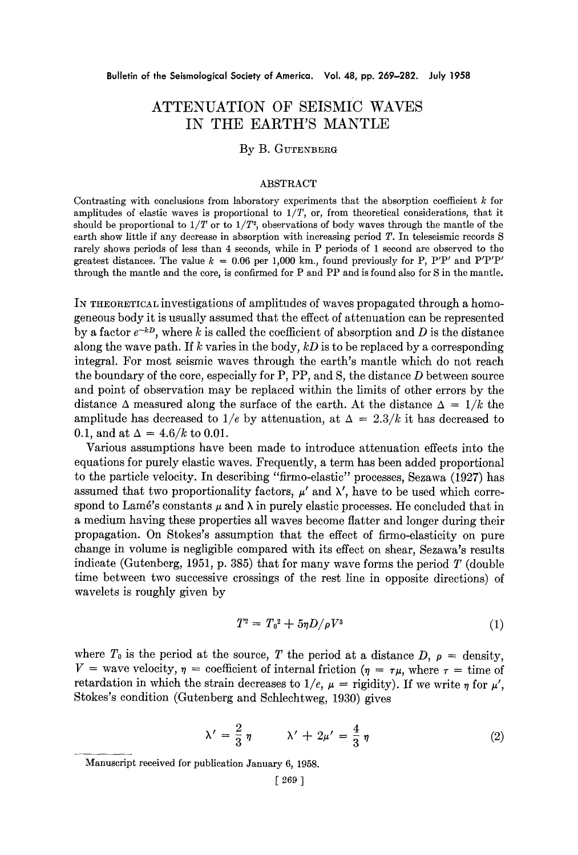# **ATTENUATION OF SEISMIC WAVES IN THE EARTH'S MANTLE**

# By B. GUTENBERG

## ABSTRACT

Contrasting with conclusions from laboratory experiments that the absorption coefficient  $k$  for amplitudes of elastic waves is proportional to *1/T,* or, from theoretical considerations, that it should be proportional to  $1/T$  or to  $1/T<sup>2</sup>$ , observations of body waves through the mantle of the earth show little if any decrease in absorption with increasing period T. In teleseismic records S rarely shows periods of less than 4 seconds, while in P periods of 1 second are observed to the greatest distances. The value  $k = 0.06$  per 1,000 km., found previously for P, P'P' and P'P'P' through the mantle and the core, is confirmed for P and PP and is found also for S in the mantle.

IN THEORETICAL investigations of amplitudes of waves propagated through a homogeneous body it is usually assumed that the effect of attenuation can be represented by a factor  $e^{-kD}$ , where k is called the coefficient of absorption and  $D$  is the distance along the wave path. If k varies in the body, *kD* is to be replaced by a corresponding integral. For most seismic waves through the earth's mantle which do not reach the boundary of the core, especially for  $P$ ,  $PP$ , and  $S$ , the distance  $D$  between source and point of observation may be replaced within the limits of other errors by the distance  $\Delta$  measured along the surface of the earth. At the distance  $\Delta = 1/k$  the amplitude has decreased to  $1/e$  by attenuation, at  $\Delta = 2.3/k$  it has decreased to 0.1, and at  $\Delta = 4.6/k$  to 0.01.

Various assumptions have been made to introduce attenuation effects into the equations for purely elastic waves. Frequently, a term has been added proportional to the particle velocity. In describing "firmo-elastic" processes, Sezawa (1927) has assumed that two proportionality factors,  $\mu'$  and  $\lambda'$ , have to be used which correspond to Lamé's constants  $\mu$  and  $\lambda$  in purely elastic processes. He concluded that in a medium having these properties all waves become flatter and longer during their propagation. On Stokes's assumption that the effect of firmo-elasticity on pure change in volume is negligible compared with its effect on shear, Sezawa's results indicate (Gutenberg, 1951, p. 385) that for many wave forms the period  $T$  (double time between two successive crossings of the rest line in opposite directions) of wavelets is roughly given by

$$
T^2 = T_0^2 + 5\eta D/\rho V^3 \tag{1}
$$

where  $T_0$  is the period at the source, T the period at a distance D,  $\rho =$  density,  $V =$  wave velocity,  $\eta =$  coefficient of internal friction ( $\eta = \tau \mu$ , where  $\tau =$  time of retardation in which the strain decreases to  $1/e$ ,  $\mu$  = rigidity). If we write  $\eta$  for  $\mu'$ , Stokes's condition (Gutenberg and Schlechtweg, 1930) gives

$$
\lambda' = \frac{2}{3} \eta \qquad \lambda' + 2\mu' = \frac{4}{3} \eta \qquad (2)
$$

Manuscript received for publication January 6, 1958.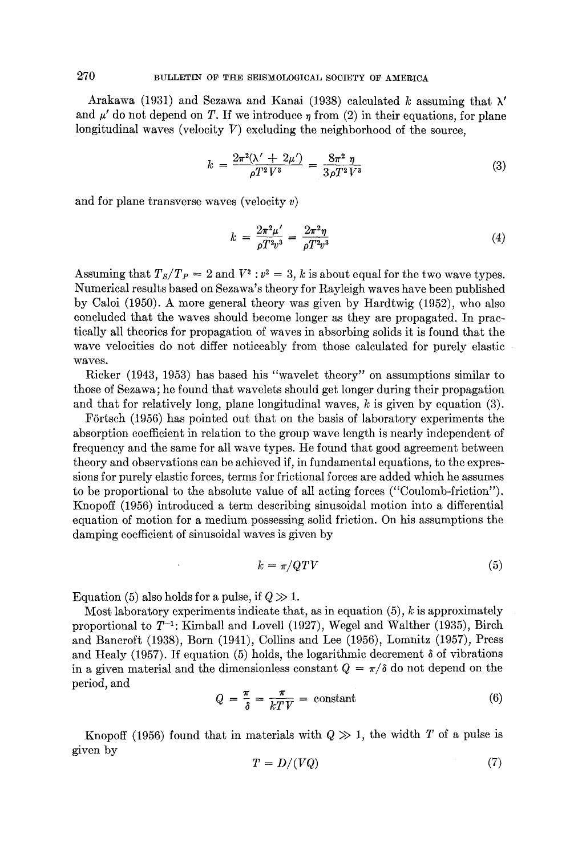Arakawa (1931) and Sezawa and Kanai (1938) calculated k assuming that  $\lambda'$ and  $\mu'$  do not depend on T. If we introduce  $\eta$  from (2) in their equations, for plane longitudinal waves (velocity  $V$ ) excluding the neighborhood of the source,

$$
k = \frac{2\pi^2(\lambda' + 2\mu')}{\rho T^2 V^3} = \frac{8\pi^2 \eta}{3\rho T^2 V^3}
$$
 (3)

and for plane transverse waves (velocity  $v$ )

$$
k = \frac{2\pi^2 \mu'}{\rho T^2 v^3} = \frac{2\pi^2 \eta}{\rho T^2 v^3}
$$
(4)

Assuming that  $T_s/T_p = 2$  and  $V^2$ :  $v^2 = 3$ , k is about equal for the two wave types. Numerical results based on Sezawa's theory for Rayleigh waves have been published by Caloi (1950). A more general theory was given by Hardtwig (1952), who also concluded that the waves should become longer as they are propagated. In practically all theories for propagation of waves in absorbing solids it is found that the wave velocities do not differ noticeably from those calculated for purely elastic waves.

Ricker (1943, 1953) has based his "wavelet theory" on assumptions similar to those of Sezawa; he found that wavelets should get longer during their propagation and that for relatively long, plane longitudinal waves,  $k$  is given by equation (3).

Förtsch (1956) has pointed out that on the basis of laboratory experiments the absorption coefficient in relation to the group wave length is nearly independent of frequency and the same for all wave types. He found that good agreement between theory and observations can be achieved if, in fundamental equations, to the expressions for purely elastic forces, terms for frictional forces are added which he assumes to be proportional to the absolute value of all acting forces ("Coulomb-friction"). Knopoff (1956) introduced a term describing sinusoidal motion into a differential equation of motion for a medium possessing solid friction. On his assumptions the damping coefficient of sinusoidal waves is given by

$$
k = \pi / QTV \tag{5}
$$

Equation (5) also holds for a pulse, if  $Q \gg 1$ .

Most laboratory experiments indicate that, as in equation  $(5)$ , k is approximately proportional to  $T^{-1}$ : Kimball and Lovell (1927), Wegel and Walther (1935), Birch and Bancroft (1938), Born (1941), Collins and Lee (1956), Lomnitz (1957), Press and Healy (1957). If equation (5) holds, the logarithmic decrement  $\delta$  of vibrations in a given material and the dimensionless constant  $Q = \pi/\delta$  do not depend on the period, and

$$
Q = \frac{\pi}{\delta} = \frac{\pi}{kT V} = \text{constant} \tag{6}
$$

Knopoff (1956) found that in materials with  $Q \gg 1$ , the width T of a pulse is given by

$$
T = D/(VQ) \tag{7}
$$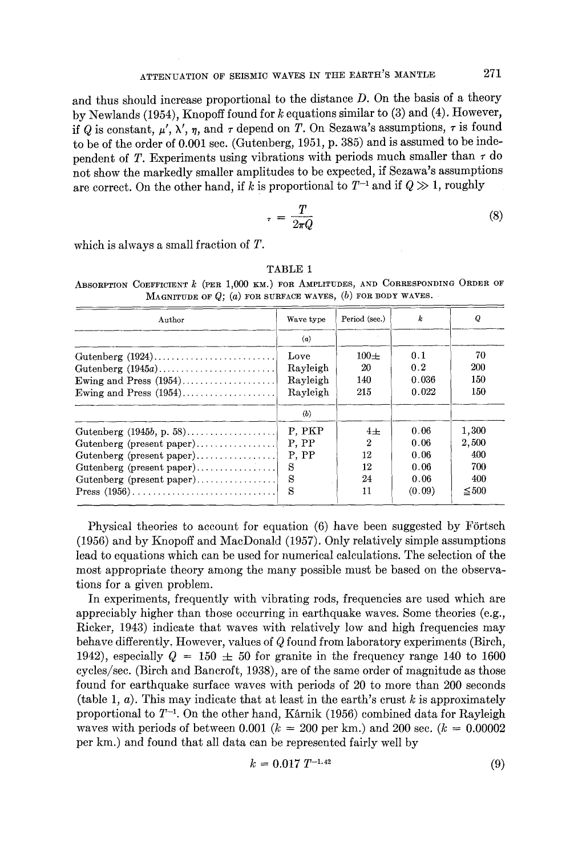and thus should increase proportional to the distance D. On the basis of a theory by Newlands (1954), Knopoff found for k equations similar to (3) and (4). However, if Q is constant,  $\mu'$ ,  $\lambda'$ ,  $\eta$ , and  $\tau$  depend on T. On Sezawa's assumptions,  $\tau$  is found to be of the order of 0.001 sec. (Gutenberg, 1951, p. 385) and is assumed to be independent of T. Experiments using vibrations with periods much smaller than  $\tau$  do not show the markedly smaller amplitudes to be expected, if Sezawa's assumptions are correct. On the other hand, if k is proportional to  $T^{-1}$  and if  $Q \gg 1$ , roughly

$$
r = \frac{T}{2\pi Q} \tag{8}
$$

which is always a small fraction of T.

Period (see.) Q Author Wave type k (a) Love  $100\pm$ 0.1 7O lutenberg (1924)... Rayleigh 20 0.2 200 ~utenberg (1945a) 140 0. 036 150 Ewing and Press  $(1954)$ .................. Rayleigh 150 Ewing and Press  $(1954)$ .................. Rayleigh 215 O. 022 (b) 1,300 lutenberg (1945b, p. 58). P, PKP  $4\pm$ 0.06 P, PP 2 0.06 2,500 Gutenberg (present paper)............... 400 P, PP 12 0.06 Gutenberg (present paper)................ Gutenberg (present paper)................ S 12 0.06 700 Gutenberg (present paper)............... S 24 0.06 400 S 11 (0.09)  $\leq 500$  $Press (1956) \ldots \ldots \ldots \ldots \ldots \ldots \ldots$ 

TABLE **1** 

ABSORPTION COEFFICIENT  $k$  (PER 1,000 KM.) for AMPLITUDES, AND CORRESPONDING ORDER OF MAGNITUDE OF  $Q$ ; (a) FOR SURFACE WAVES, (b) FOR BODY WAVES.

Physical theories to account for equation  $(6)$  have been suggested by Förtsch (1956) and by Knopoff and MacDonald (1957). Only relatively simple assumptions lead to equations which can be used for numerical calculations. The selection of the most appropriate theory among the many possible must be based on the observations for a given problem.

In experiments, frequently with vibrating rods, frequencies are used which are appreciably higher than those occurring in earthquake waves. Some theories (e.g., Rieker, 1943) indicate that waves with relatively low and high frequencies may behave differently, However, values of Q found from laboratory experiments (Birch, 1942), especially  $Q = 150 \pm 50$  for granite in the frequency range 140 to 1600 cycles/see. (Birch and Bancroft, 1938), are of the same order of magnitude as those found for earthquake surface waves with periods of 20 to more than 200 seconds (table 1,  $a$ ). This may indicate that at least in the earth's crust  $k$  is approximately proportional to  $T^{-1}$ . On the other hand, Karnik (1956) combined data for Rayleigh waves with periods of between 0.001 ( $k = 200$  per km.) and 200 sec. ( $k = 0.00002$ ) per km.) and found that all data can be represented fairly well by

$$
k = 0.017 \ T^{-1.42} \tag{9}
$$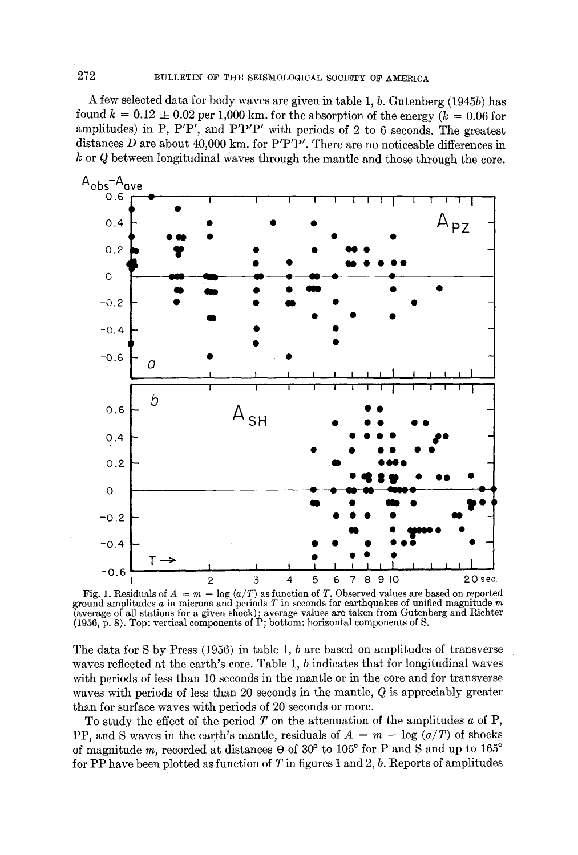A few selected data for body waves are given in table 1, b. Gutenberg (1945b) has found  $k = 0.12 \pm 0.02$  per 1,000 km, for the absorption of the energy ( $k = 0.06$  for amplitudes) in P, P'P', and P'P'P' with periods of 2 to 6 seconds. The greatest distances D are about 40,000 km. for  $P'P'P'$ . There are no noticeable differences in  $k$  or  $Q$  between longitudinal waves through the mantle and those through the core.



Fig. 1. Residuals of  $A = m - \log(a/T)$  as function of T. Observed values are based on reported ground amplitudes a in microns and periods T in seconds for earthquakes of unified magnitude m (average of all stations for a given shock); average values are taken from Gutenberg and Richter  $(1956, p. 8)$ . Top: vertical components of P; bottom: horizontal components of S.

The data for S by Press (1956) in table 1, b are based on amplitudes of transverse waves reflected at the earth's core. Table 1, b indicates that for longitudinal waves with periods of less than 10 seconds in the mantle or in the core and for transverse waves with periods of less than 20 seconds in the mantle,  $Q$  is appreciably greater than for surface waves with periods of 20 seconds or more.

To study the effect of the period  $T$  on the attenuation of the amplitudes  $a$  of  $P$ , PP, and S waves in the earth's mantle, residuals of  $A = m - \log (a/T)$  of shocks of magnitude m, recorded at distances  $\theta$  of 30° to 105° for P and S and up to 165° for PP have been plotted as function of  $T$  in figures 1 and 2,  $b$ . Reports of amplitudes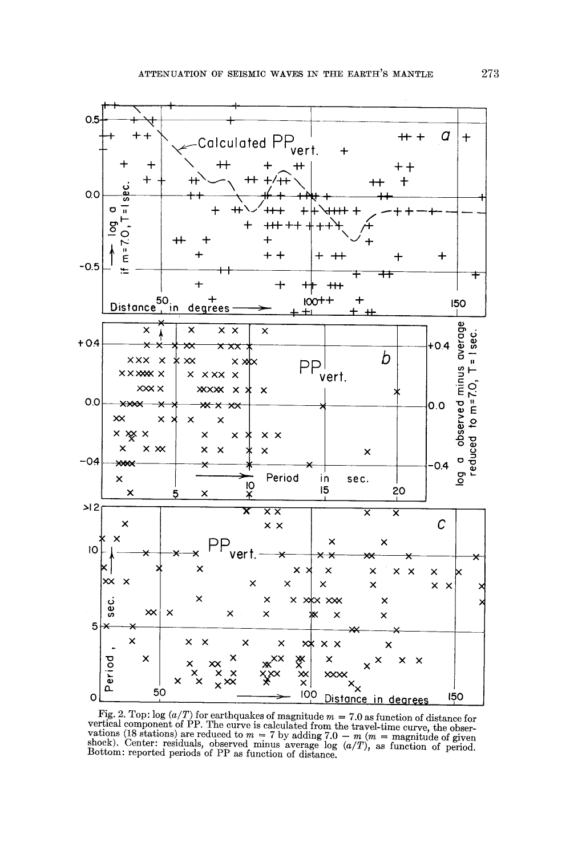

Fig. 2. Top:  $log (a/T)$  for earthquakes of magnitude  $m = 7.0$  as function of distance for rig. 2. Top. log (a/1) for each equation in magnitude  $m = 1.6$  as function of absent vertical component of PP. The curve is calculated from the travel-time curve, the observations (18 stations) are reduced to  $m = 7$  by ad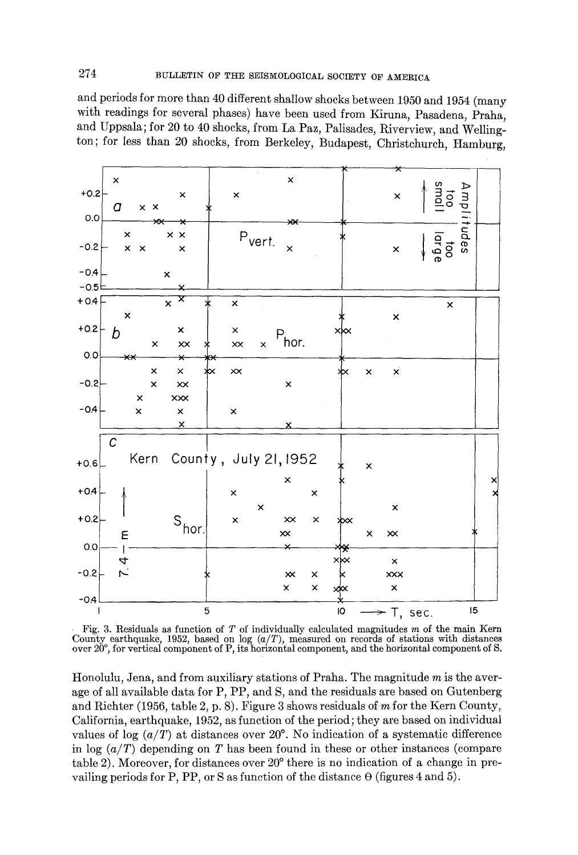and periods for more than 40 different shallow shocks between 1950 and 1954 (many with readings for several phases) have been used from Kiruna, Pasadena, Praha, and Uppsala; for 20 to 40 shocks, from La Paz, Palisades, Riverview, and Wellington; for less than 20 shocks, from Berkeley, Budapest, Christchurch, Hamburg,



Fig. 3. Residuals as function of  $T$  of individually calculated magnitudes  $m$  of the main Kern County earthquake, 1952, based on log  $(a/T)$ , measured on records of stations with distances over 20°, for vertical component of P, its horizontal component, and the horizontal component of S.

Honolulu, Jena, and from auxiliary stations of Praha. The magnitude m is the average of all available data for P, PP, and S, and the residuals are based on Gutenberg and Richter (1956, table 2, p. 8). Figure 3 shows residuals of m for the Kern County, California, earthquake, 1952, as function of the period; they are based on individual values of log  $(a/T)$  at distances over 20<sup>o</sup>. No indication of a systematic difference in log *(a/T)* depending on T has been found in these or other instances (compare table 2). Moreover, for distances over 20<sup>°</sup> there is no indication of a change in prevailing periods for P, PP, or S as function of the distance  $\Theta$  (figures 4 and 5).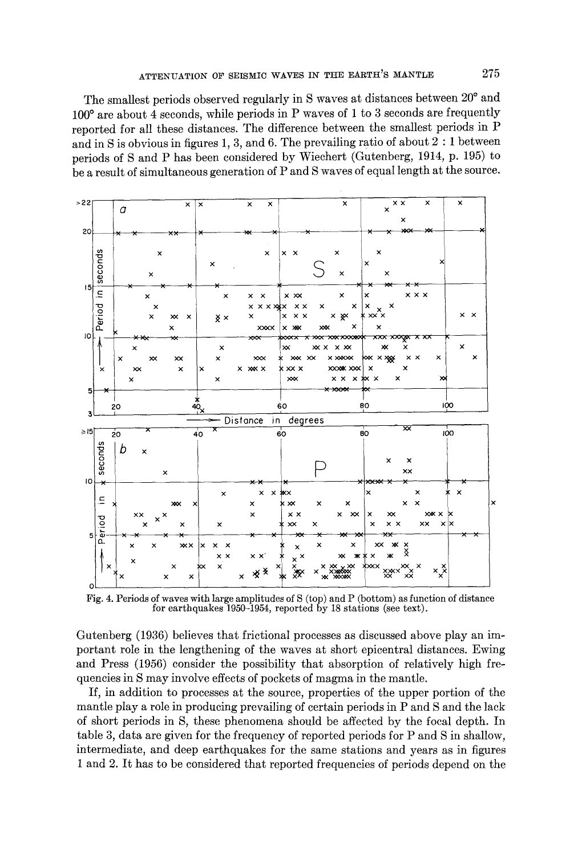The smallest periods observed regularly in S waves at distances between 20° and 100° are about 4 seconds, while periods in P waves of 1 to 3 seconds are frequently reported for all these distances. The difference between the smallest periods in P and in S is obvious in figures 1, 3, and 6. The prevailing ratio of about  $2:1$  between periods of S and P has been considered by Wiechert (Gutenberg, 1914, p. 195) to be a result of simultaneous generation of P and S waves of equal length at the source.



Fig. 4. Periods of waves with large amplitudes of S (top) and P (bottom) as function of distance for earthquakes 1950-1954, reported by 18 stations (see text).

Gutenberg (1936) believes that frictional processes as discussed above play an important role in the lengthening of the waves at short epicentral distances. Ewing and Press (1956) consider the possibility that absorption of relatively high frequencies in S may involve effects of pockets of magma in the mantle.

If, in addition to processes at the source, properties of the upper portion of the mantle play a role in producing prevailing of certain periods in P and S and the lack of short periods in S, these phenomena should be affected by the focal depth. In table 3, data are given for the frequency of reported periods for P and S in shallow, intermediate, and deep earthquakes for the same stations and years as in figures 1 and 2. It has to be considered that reported frequencies of periods depend on the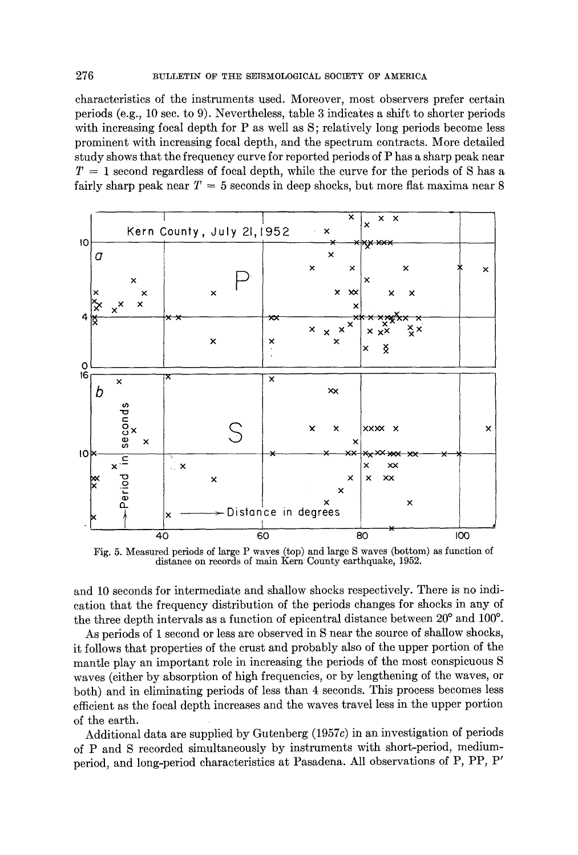characteristics of the instruments used. Moreover, most observers prefer certain periods (e.g., 10 sec. to 9). Nevertheless, table 3 indicates a shift to shorter periods with increasing focal depth for P as well as S; relatively long periods become less prominent with increasing focal depth, and the spectrum contracts. More detailed study shows that the frequency curve for reported periods of P has a sharp peak near  $T = 1$  second regardless of focal depth, while the curve for the periods of S has a fairly sharp peak near  $T = 5$  seconds in deep shocks, but more flat maxima near 8



Fig. 5. Measured periods of large P waves (top) and large S waves (bottom) as function of distance on records of main Kern County earthquake, 1952.

and 10 seconds for intermediate and shallow shocks respectively. There is no indication that the frequency distribution of the periods changes for shocks in any of the three depth intervals as a function of epicentral distance between  $20^{\circ}$  and  $100^{\circ}$ .

As periods of 1 second or less are observed in S near the source of shallow shocks, it follows that properties of the crust and probably also of the upper portion of the mantle play an important role in increasing the periods of the most conspicuous S waves (either by absorption of high frequencies, or by lengthening of the waves, or both) and in eliminating periods of less than 4 seconds. This process becomes less efficient as the focal depth increases and the waves travel less in the upper portion of the earth.

Additional data are supplied by Gutenberg (1957c) in an investigation of periods of P and S recorded simultaneously by instruments with short-period, mediumperiod, and long-period characteristics at Pasadena. All observations of P, PP, P'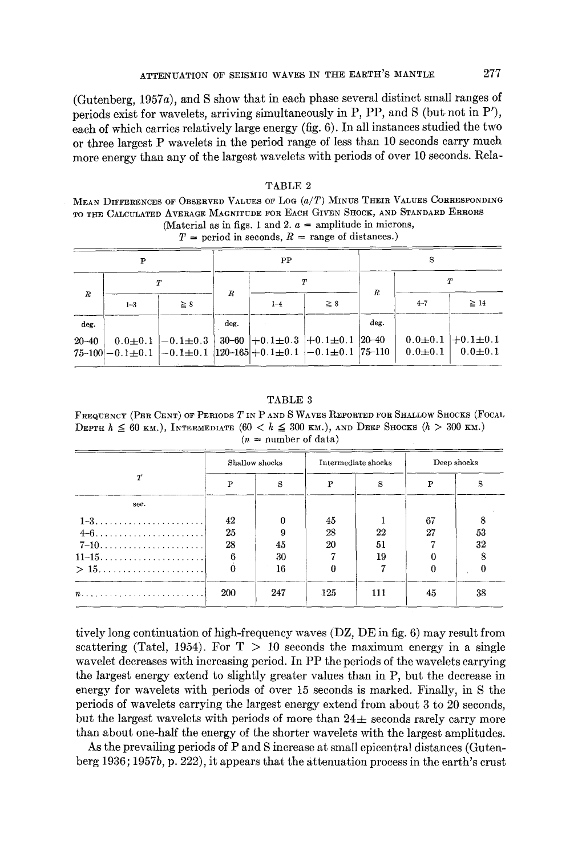(Gutenberg, 1957a), and S show that in each phase several distinct small ranges of periods exist for wavelets, arriving simultaneously in P, PP, and S (but not in P'), each of which carries relatively large energy (fig. 6). In all instances studied the two or three largest P wavelets in the period range of less than 10 seconds carry much more energy than any of the largest wavelets with periods of over 10 seconds. Rela-

|                  |                                                                                                         |                  |      |         | $T =$ period in seconds, $R =$ range of distances.) |      |             |                                             |  |
|------------------|---------------------------------------------------------------------------------------------------------|------------------|------|---------|-----------------------------------------------------|------|-------------|---------------------------------------------|--|
|                  |                                                                                                         |                  | PP   |         |                                                     | S    |             |                                             |  |
| $\boldsymbol{R}$ |                                                                                                         |                  |      |         |                                                     |      | $\tau$      |                                             |  |
|                  | $1 - 3$                                                                                                 | $\geq 8$         | R.   | $1 - 4$ | $\geq 8$                                            | R    | $4 - 7$     | $\geq$ 14                                   |  |
| deg.             |                                                                                                         |                  | deg. |         |                                                     | deg. |             |                                             |  |
| $20 - 40$        | $0.0 + 0.1$<br>$75-100$  -0.1 $\pm$ 0.1  -0.1 $\pm$ 0.1  120-165 +0.1 $\pm$ 0.1  -0.1 $\pm$ 0.1  75-110 | $ -0.1 \pm 0.3 $ |      |         | $30-60$ + 0 $1\pm0.3$ + 0 $1\pm0.1$ 20 - 40         |      | $0.0 + 0.1$ | $0.0 \pm 0.1$ +0.1 $\pm 0.1$<br>$0.0\pm0.1$ |  |

# TABLE 2 MEAN DIFFERENCES OF OBSERVED VALUES OF LOG *(a/T)* MINUS THEIR VALUES CORRESPONDING

TO THE CALCULATED AVERAGE MAGNITUDE FOR EACH GIVEN SHOCK, AND STANDARD ERRORS (Material as in figs. 1 and 2.  $a =$  amplitude in microns,

TABLE 3 FREQUENCY (PER CENT) OF PERIODS T IN P AND S WAVES REPORTED FOR SHALLOW SHOCKS (FOCAL DEPTH  $h \leq 60$  KM.), INTERMEDIATE  $(60 < h \leq 300$  KM.), AND DEEP SHOCKS  $(h > 300$  KM.)  $(n = number of data)$ 

|          | Shallow shocks  |     | Intermediate shocks |     | Deep shocks |    |
|----------|-----------------|-----|---------------------|-----|-------------|----|
| T        | P               | S   | P                   | S   | P           | s  |
| sec.     |                 |     |                     |     |             |    |
|          | 42              |     | 45                  |     | 67          |    |
| $4 - 6$  | 25              | 9   | 28                  | 22  | 27          | 53 |
| $7 - 10$ | 28              | 45  | 20                  | 51  |             | 32 |
|          | $6\overline{6}$ | 30  |                     | 19  |             |    |
|          |                 | 16  |                     |     |             |    |
|          | 200             | 247 | 125                 | 111 | 45          | 38 |

tively long continuation of high-frequency waves (DZ, DE in fig. 6) may result from scattering (Tatel, 1954). For  $T > 10$  seconds the maximum energy in a single wavelet decreases with increasing period. In PP the periods of the wavelets carrying the largest energy extend to slightly greater values than in P, but the decrease in energy for wavelets with periods of over t5 seconds is marked. Finally, in S the periods of wavelets carrying the largest energy extend from about 3 to 20 seconds, but the largest wavelets with periods of more than  $24\pm$  seconds rarely carry more than about one-half the energy of the shorter wavelets with the largest amplitudes.

As the prevailing periods of P and S increase at small epicentral distances (Gutenberg 1936; 1957b, p. *222),* it appears that the attenuation process in the earth's crust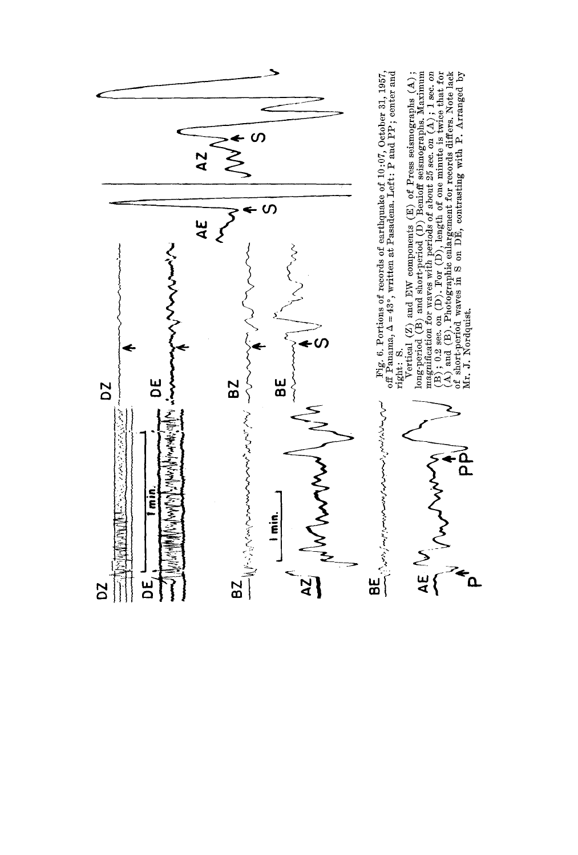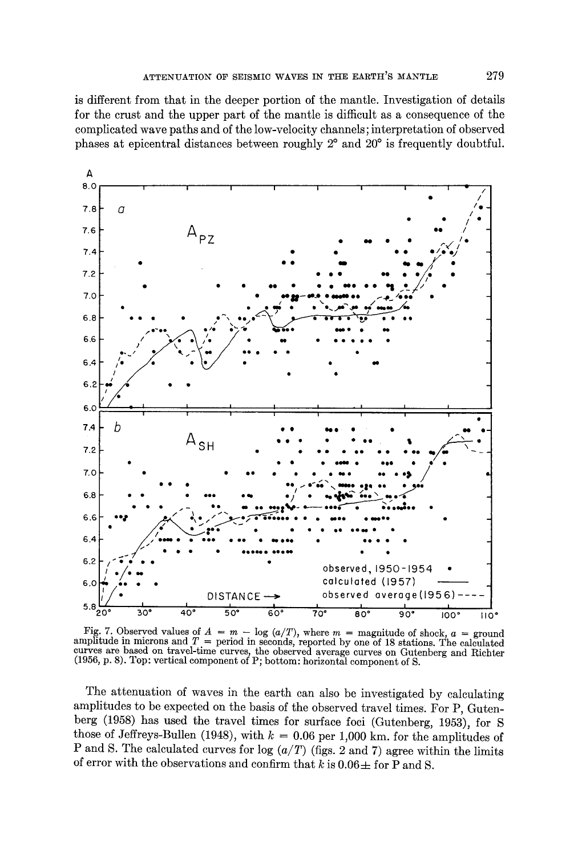is different from that in the deeper portion of the mantle. Investigation of details for the crust and the upper part of the mantle is difficult as a consequence of the complicated wave paths and of the low-velocity channels; interpretation of observed phases at epicentral distances between roughly  $2^{\circ}$  and  $20^{\circ}$  is frequently doubtful.



Fig. 7. Observed values of  $A = m - \log (a/T)$ , where  $m =$  magnitude of shock,  $a =$  ground amplitude in microns and  $T =$  period in seconds, reported by one of 18 stations. The calculated curves are based on travel-time curves, the observed average curves on Gutenberg and Richter<br>(1956, p. 8). Top: vertical component of P; bottom: horizontal component of S.

The attenuation of waves in the earth can also be investigated by calculating amplitudes to be expected on the basis of the observed travel times. For P, Gutenberg (1958) has used the travel times for surface foci (Gutenberg, 1953), for S those of Jeffreys-Bullen (1948), with  $k = 0.06$  per 1,000 km, for the amplitudes of P and S. The calculated curves for log  $(a/T)$  (figs. 2 and 7) agree within the limits of error with the observations and confirm that k is  $0.06 \pm$  for P and S.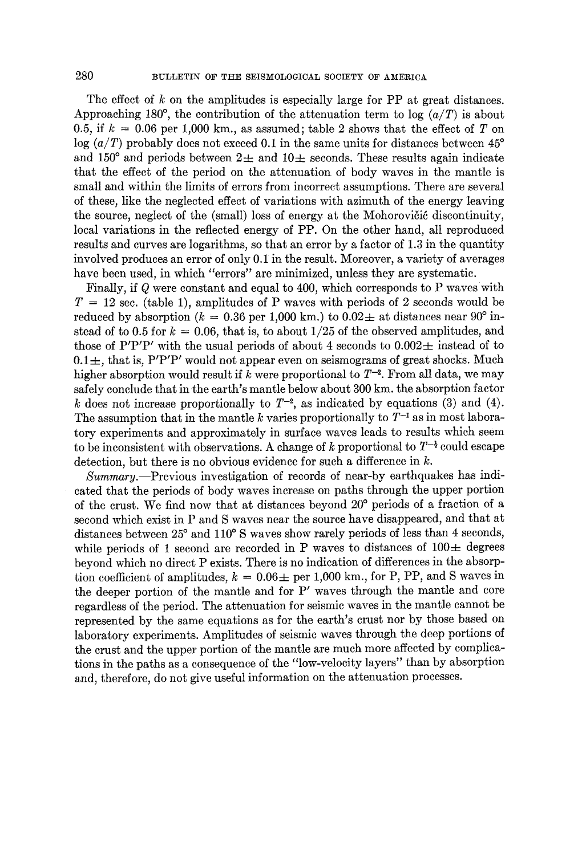280 BULLETIN OF THE SEISMOLOGICAL SOCIETY OF AMERICA

The effect of k on the amplitudes is especially large for PP at great distances. Approaching 180<sup>°</sup>, the contribution of the attenuation term to log  $(a/T)$  is about 0.5, if  $k = 0.06$  per 1,000 km., as assumed; table 2 shows that the effect of T on  $\log (a/T)$  probably does not exceed 0.1 in the same units for distances between 45<sup>°</sup> and 150° and periods between  $2\pm$  and 10 $\pm$  seconds. These results again indicate that the effect of the period on the attenuation of body waves in the mantle is small and within the limits of errors from incorrect assumptions. There are several of these, like the neglected effect of variations with azimuth of the energy leaving the source, neglect of the (small) loss of energy at the Mohorovičić discontinuity, local variations in the reflected energy of PP. On the other hand, all reproduced results and curves are logarithms, so that an error by a factor of 1.3 in the quantity involved produces an error of only 0.1 in the result. Moreover, a variety of averages have been used, in which "errors" are minimized, unless they are systematic.

Finally, if Q were constant and equal to 400, which corresponds to P waves with  $T = 12$  sec. (table 1), amplitudes of P waves with periods of 2 seconds would be reduced by absorption ( $k = 0.36$  per 1,000 km.) to  $0.02 \pm$  at distances near 90<sup>°</sup> instead of to 0.5 for  $k = 0.06$ , that is, to about 1/25 of the observed amplitudes, and those of P'P'P' with the usual periods of about 4 seconds to  $0.002\pm$  instead of to  $0.1\pm$ , that is, P'P'P' would not appear even on seismograms of great shocks. Much higher absorption would result if k were proportional to  $T^{-2}$ . From all data, we may safely conclude that in the earth's mantle below about 300 km. the absorption factor k does not increase proportionally to  $T^{-2}$ , as indicated by equations (3) and (4). The assumption that in the mantle k varies proportionally to  $T^{-1}$  as in most laboratory experiments and approximately in surface waves leads to results which seem to be inconsistent with observations. A change of k proportional to  $T^{-\frac{1}{2}}$  could escape detection, but there is no obvious evidence for such a difference in  $k$ .

*Summary.--Previous* investigation of records of near-by earthquakes has indicated that the periods of body waves increase on paths through the upper portion of the crust. We find now that at distances beyond 20° periods of a fraction of a second which exist in P and S waves near the source have disappeared, and that at distances between 25° and 110° S waves show rarely periods of less than 4 seconds, while periods of 1 second are recorded in P waves to distances of  $100 \pm$  degrees beyond which no direct P exists. There is no indication of differences in the absorption coefficient of amplitudes,  $k = 0.06 \pm$  per 1,000 km., for P, PP, and S waves in the deeper portion of the mantle and for P' waves through the mantle and core regardless of the period. The attenuation for seismic waves in the mantle cannot be represented by the same equations as for the earth's crust nor by those based on laboratory experiments. Amplitudes of seismic waves through the deep portions of the crust and the upper portion of the mantle are much more affected by complications in the paths as a consequence of the "low-velocity layers" than by absorption and, therefore, do not give useful information on the attenuation processes.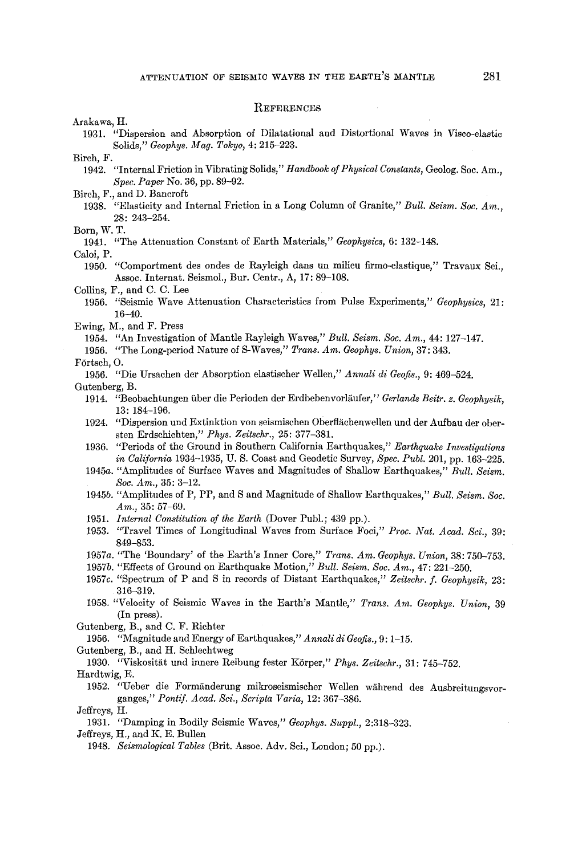### REFERENCES

Arakawa, H.

1931. "Dispersion and Absorption of Dilatational and Distortional Waves in Visco-elastic Solids," *Geophys. Mag. Tokyo~* 4: 215-223.

Birch, F.

1942. "Internal Friction in Vibrating Solids," *Handbook of Physlcal Constants,* Geolog. Soc. Am., *Spec. Paper* No. 36, pp. 89-92.

- Birch, F., and D. Bancroft
	- 1938. "Elasticity and Internal Friction in a Long Column of Granite," *Bull. Seism. Soc. Am.,*  28: 243-254.

Born, W. T.

194l. "The Attenuation Constant of Earth Materials," *Geophysics,* 6: 132-148.

Caloi, P.

1950. "Comportment des ondes de Rayleigh dans un milieu firmo-elastique," Travau× Sci., Assoc. Internat. Seismol., Bur. Centr., A, 17: 89-108.

Collins, F., and C. C. Lee

- 1956. "Seismic Wave Attenuation Characteristics from Pulse Experiments," *Geophysics,* 21: 16-40.
- Ewing, M., and F. Press
	- 1954. *"An* Investigation of Mantle Rayleigh Waves," *Bull. Seism. Soc. Am.,* 44: 127-147.
	- 1956. "The Long-period Nature of S-Waves," *Trans. Am. Geophys. Union,* 37: 343.

### Förtsch, O.

1956. "Die Ursachen der Absorption elastischer Wellen," *Annali di Geofis.,* 9: 469-524.

Gutenberg, B.

- 1914. "Beobachtungen über die Perioden der Erdbebenvorläufer," Gerlands Beitr. z. Geophysik, 13: 184-196.
- 1924. "Dispersion und Extinktion von seismischen Oberflächenwellen und der Aufbau der obersten Erdschichten," *Phys. Zeitschr.,* 25: 377-381.
- 1936. "Periods of the Ground in Southern California Earthquakes," *Earthquake Investigations in California* 1934-1935, U. S. Coast and Geodetic Survey, *Spec. Publ.* 201, pp. 163-225.
- 1945a. "Amplitudes of Surface Waves and Magnitudes of Shallow Earthquakes," *Bull. Seism. Soc. Am.,* 35: 3-12.
- 1945b. "Amplitudes of P, PP, and S and Magnitude of Shallow Earthquakes," *Bull. Seism. Soc. Am.,* 35: 57-69.
- 1951. *Internal Constitution of the Earth* (Dover Publ.; 439 pp.).
- 1953. "Travel Times of Longitudinal Waves from Surface Foci," *Proc. Nat. Acad. Sci.,* 39: 849-853.
- 1957a. "The 'Boundary' of the Earth's Inner Core," *Trans. Am. Geophys. Union,* 38: 750-753.
- 1957b. "Effects of Ground on Earthquake Motion," *Bull. Seism. Soc. Am.,* 47: 221-250.
- 1957c. "Spectrum of P and S in records of Distant Earthquakes," *Zeitschr. f. Geophysik,* 23: 316-319.
- 1958. "Velocity of Seismic Waves in the Earth's Mantle," *Trans. Am. Geophys. Union,* 39 (In press).

Gutenberg, B., and C. F. Richter

1956. "Magnitude and Energy of Earthquakes," *Annali di Geofis.,* 9: 1-15.

Gutenberg, B., and H. Schlechtweg

1930. "Viskosität und innere Reibung fester Körper," *Phys. Zeitschr.*, 31: 745-752.

Hardtwig, E.

1952. "Ueber die Formiinderung mikroseismiseher Wellen wiihrend des Ausbreitungsvorganges," Pontif. Acad. Sci., Scripta Varia, 12: 367-386.

Jeffreys, H.

1931. "Damping in Bodily Seismic Waves," *Geophys. Suppl.,* 2:318-323.

Jeffreys, H., and K. E. Bullen

<sup>1948.</sup> *Seismological Tables* (Brit. Assoc. Adv. Sci., London; 50 pp.).